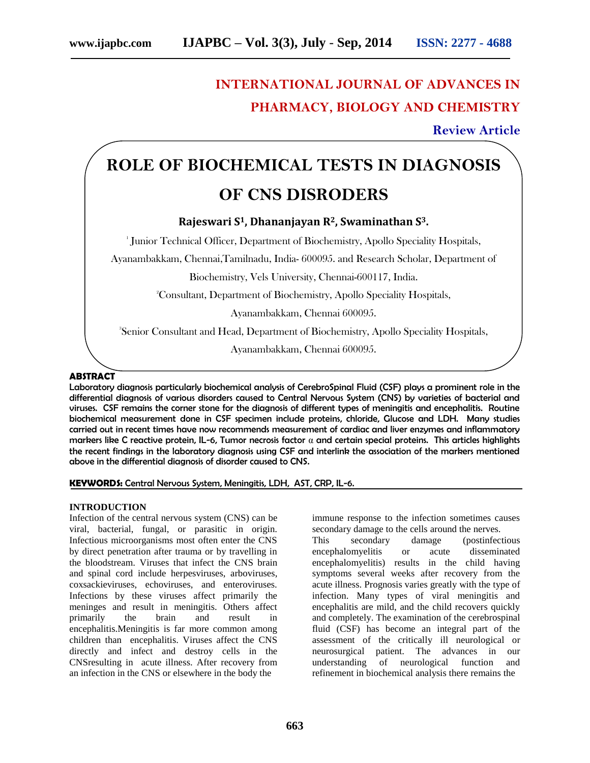# **INTERNATIONAL JOURNAL OF ADVANCES IN PHARMACY, BIOLOGY AND CHEMISTRY**

**Review Article**

# **ROLE OF BIOCHEMICAL TESTS IN DIAGNOSIS OF CNS DISRODERS**

# **Rajeswari S1, Dhananjayan R2, Swaminathan S3.**

1 Junior Technical Officer, Department of Biochemistry, Apollo Speciality Hospitals,

Ayanambakkam, Chennai,Tamilnadu, India- 600095. and Research Scholar, Department of

Biochemistry, Vels University, Chennai-600117, India.

<sup>2</sup>Consultant, Department of Biochemistry, Apollo Speciality Hospitals,

Ayanambakkam, Chennai 600095.

3 Senior Consultant and Head, Department of Biochemistry, Apollo Speciality Hospitals,

Ayanambakkam, Chennai 600095.

# **ABSTRACT**

Laboratory diagnosis particularly biochemical analysis of CerebroSpinal Fluid (CSF) plays a prominent role in the differential diagnosis of various disorders caused to Central Nervous System (CNS) by varieties of bacterial and viruses. CSF remains the corner stone for the diagnosis of different types of meningitis and encephalitis. Routine biochemical measurement done in CSF specimen include proteins, chloride, Glucose and LDH. Many studies carried out in recent times have now recommends measurement of cardiac and liver enzymes and inflammatory markers like C reactive protein, IL-6, Tumor necrosis factor  $\alpha$  and certain special proteins. This articles highlights the recent findings in the laboratory diagnosis using CSF and interlink the association of the markers mentioned above in the differential diagnosis of disorder caused to CNS.

#### **KEYWORDS:** Central Nervous System, Meningitis, LDH, AST, CRP, IL-6.

#### **INTRODUCTION**

Infection of the central nervous system (CNS) can be viral, bacterial, fungal, or parasitic in origin. Infectious microorganisms most often enter the CNS by direct penetration after trauma or by travelling in the bloodstream. Viruses that infect the CNS brain and spinal cord include herpesviruses, arboviruses, coxsackieviruses, echoviruses, and enteroviruses. Infections by these viruses affect primarily the meninges and result in meningitis. Others affect primarily the brain and result in encephalitis.Meningitis is far more common among children than encephalitis. Viruses affect the CNS directly and infect and destroy cells in the CNSresulting in acute illness. After recovery from an infection in the CNS or elsewhere in the body the

immune response to the infection sometimes causes secondary damage to the cells around the nerves.

This secondary damage (postinfectious encephalomyelitis or acute disseminated encephalomyelitis) results in the child having symptoms several weeks after recovery from the acute illness. Prognosis varies greatly with the type of infection. Many types of viral meningitis and encephalitis are mild, and the child recovers quickly and completely. The examination of the cerebrospinal fluid (CSF) has become an integral part of the assessment of the critically ill neurological or neurosurgical patient. The advances in our understanding of neurological function and refinement in biochemical analysis there remains the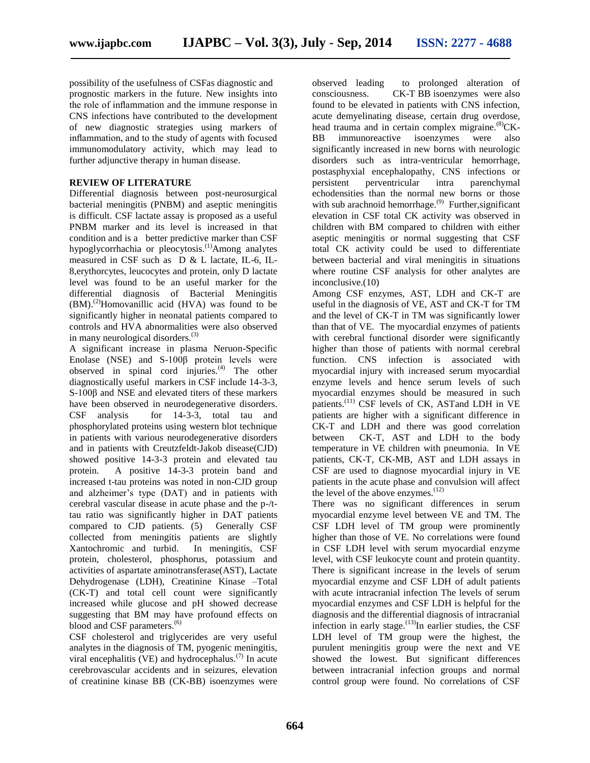possibility of the usefulness of CSFas diagnostic and prognostic markers in the future. New insights into the role of inflammation and the immune response in CNS infections have contributed to the development of new diagnostic strategies using markers of inflammation, and to the study of agents with focused immunomodulatory activity, which may lead to further adjunctive therapy in human disease.

# **REVIEW OF LITERATURE**

Differential diagnosis between post-neurosurgical bacterial meningitis (PNBM) and aseptic meningitis is difficult. CSF lactate assay is proposed as a useful PNBM marker and its level is increased in that condition and is a better predictive marker than CSF hypoglycorrhachia or pleocytosis.<sup>(1)</sup>Among analytes measured in CSF such as D & L lactate, IL-6, IL-8,erythorcytes, leucocytes and protein, only D lactate level was found to be an useful marker for the differential diagnosis of Bacterial Meningitis  $(BM)$ .<sup>(2)</sup>Homovanillic acid  $(HVA)$  was found to be significantly higher in neonatal patients compared to controls and HVA abnormalities were also observed in many neurological disorders.<sup>(3)</sup>

A significant increase in plasma Neruon-Specific Enolase (NSE) and S-100β protein levels were observed in spinal cord injuries. $^{(4)}$  The other diagnostically useful markers in CSF include 14-3-3, S-100β and NSE and elevated titers of these markers have been observed in neurodegenerative disorders. CSF analysis for 14-3-3, total tau and phosphorylated proteins using western blot technique in patients with various neurodegenerative disorders and in patients with Creutzfeldt-Jakob disease(CJD) showed positive 14-3-3 protein and elevated tau protein. A positive 14-3-3 protein band and increased t-tau proteins was noted in non-CJD group and alzheimer's type (DAT) and in patients with cerebral vascular disease in acute phase and the p-/ttau ratio was significantly higher in DAT patients compared to CJD patients. (5) Generally CSF collected from meningitis patients are slightly Xantochromic and turbid. In meningitis, CSF protein, cholesterol, phosphorus, potassium and activities of aspartate aminotransferase(AST), Lactate Dehydrogenase (LDH), Creatinine Kinase –Total (CK-T) and total cell count were significantly increased while glucose and pH showed decrease suggesting that BM may have profound effects on blood and CSF parameters.<sup>(6)</sup>

CSF cholesterol and triglycerides are very useful analytes in the diagnosis of TM, pyogenic meningitis, viral encephalitis (VE) and hydrocephalus.<sup> $(7)$ </sup> In acute cerebrovascular accidents and in seizures, elevation of creatinine kinase BB (CK-BB) isoenzymes were

observed leading to prolonged alteration of consciousness. CK-T BB isoenzymes were also found to be elevated in patients with CNS infection, acute demyelinating disease, certain drug overdose, head trauma and in certain complex migraine. $^{(8)}$ CK-BB immunoreactive isoenzymes were also significantly increased in new borns with neurologic disorders such as intra-ventricular hemorrhage, postasphyxial encephalopathy, CNS infections or persistent perventricular intra parenchymal echodensities than the normal new borns or those with sub arachnoid hemorrhage.<sup>(9)</sup> Further, significant elevation in CSF total CK activity was observed in children with BM compared to children with either aseptic meningitis or normal suggesting that CSF total CK activity could be used to differentiate between bacterial and viral meningitis in situations where routine CSF analysis for other analytes are inconclusive.(10)

Among CSF enzymes, AST, LDH and CK-T are useful in the diagnosis of VE, AST and CK-T for TM and the level of CK-T in TM was significantly lower than that of VE. The myocardial enzymes of patients with cerebral functional disorder were significantly higher than those of patients with normal cerebral function. CNS infection is associated with myocardial injury with increased serum myocardial enzyme levels and hence serum levels of such myocardial enzymes should be measured in such patients.<sup>(11)</sup> CSF levels of CK, ASTand LDH in VE patients are higher with a significant difference in CK-T and LDH and there was good correlation between CK-T, AST and LDH to the body temperature in VE children with pneumonia. In VE patients, CK-T, CK-MB, AST and LDH assays in CSF are used to diagnose myocardial injury in VE patients in the acute phase and convulsion will affect the level of the above enzymes.<sup>(12)</sup>

There was no significant differences in serum myocardial enzyme level between VE and TM. The CSF LDH level of TM group were prominently higher than those of VE. No correlations were found in CSF LDH level with serum myocardial enzyme level, with CSF leukocyte count and protein quantity. There is significant increase in the levels of serum myocardial enzyme and CSF LDH of adult patients with acute intracranial infection The levels of serum myocardial enzymes and CSF LDH is helpful for the diagnosis and the differential diagnosis of intracranial infection in early stage. $^{(13)}$ In earlier studies, the CSF LDH level of TM group were the highest, the purulent meningitis group were the next and VE showed the lowest. But significant differences between intracranial infection groups and normal control group were found. No correlations of CSF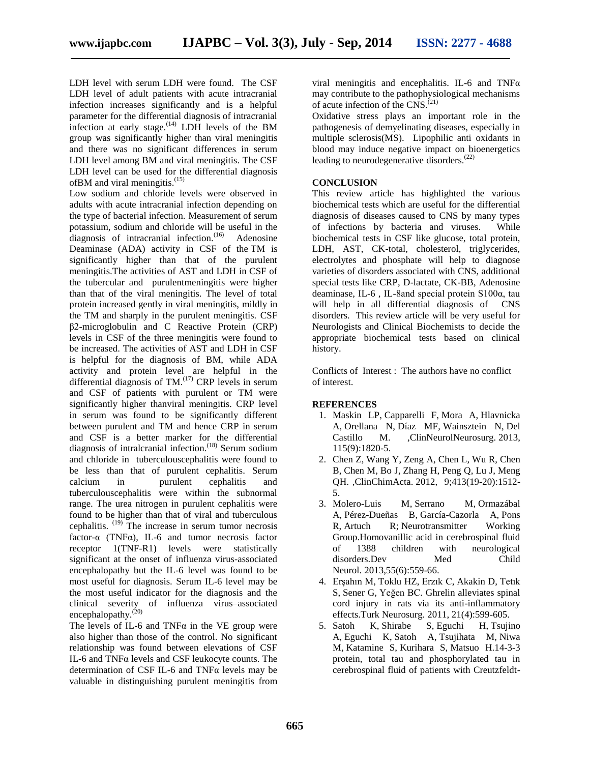LDH level with serum LDH were found. The CSF LDH level of adult patients with acute intracranial infection increases significantly and is a helpful parameter for the differential diagnosis of intracranial infection at early stage.<sup> $(14)$ </sup> LDH levels of the BM group was significantly higher than viral meningitis and there was no significant differences in serum LDH level among BM and viral meningitis. The CSF LDH level can be used for the differential diagnosis ofBM and viral meningitis.<sup>(15)</sup>

Low sodium and chloride levels were observed in adults with acute intracranial infection depending on the type of bacterial infection. Measurement of serum potassium, sodium and chloride will be useful in the diagnosis of intracranial infection. $(16)$  Adenosine Deaminase (ADA) activity in CSF of the TM is significantly higher than that of the purulent meningitis.The activities of AST and LDH in CSF of the tubercular and purulentmeningitis were higher than that of the viral meningitis. The level of total protein increased gently in viral meningitis, mildly in the TM and sharply in the purulent meningitis. CSF β2-microglobulin and C Reactive Protein (CRP) levels in CSF of the three meningitis were found to be increased. The activities of AST and LDH in CSF is helpful for the diagnosis of BM, while ADA activity and protein level are helpful in the differential diagnosis of  $TM$ .<sup>(17)</sup> CRP levels in serum and CSF of patients with purulent or TM were significantly higher thanviral meningitis. CRP level in serum was found to be significantly different between purulent and TM and hence CRP in serum and CSF is a better marker for the differential diagnosis of intralcranial infection.<sup>(18)</sup> Serum sodium and chloride in tuberculouscephalitis were found to be less than that of purulent cephalitis. Serum calcium in purulent cephalitis and tuberculouscephalitis were within the subnormal range. The urea nitrogen in purulent cephalitis were found to be higher than that of viral and tuberculous cephalitis.  $(19)$  The increase in serum tumor necrosis factor- $\alpha$  (TNF $\alpha$ ), IL-6 and tumor necrosis factor receptor 1(TNF-R1) levels were statistically significant at the onset of influenza virus-associated encephalopathy but the IL-6 level was found to be most useful for diagnosis. Serum IL-6 level may be the most useful indicator for the diagnosis and the clinical severity of influenza virus–associated encephalopathy.<sup>(20)</sup>

The levels of IL-6 and TNF $\alpha$  in the VE group were also higher than those of the control. No significant relationship was found between elevations of CSF IL-6 and TNFα levels and CSF leukocyte counts. The determination of CSF IL-6 and TNFα levels may be valuable in distinguishing purulent meningitis from viral meningitis and encephalitis. IL-6 and  $TNF\alpha$ may contribute to the pathophysiological mechanisms of acute infection of the CNS.<sup>(21)</sup>

Oxidative stress plays an important role in the pathogenesis of demyelinating diseases, especially in multiple sclerosis(MS). Lipophilic anti oxidants in blood may induce negative impact on bioenergetics leading to neurodegenerative disorders.<sup>(22)</sup>

### **CONCLUSION**

This review article has highlighted the various biochemical tests which are useful for the differential diagnosis of diseases caused to CNS by many types of infections by bacteria and viruses. While biochemical tests in CSF like glucose, total protein, LDH, AST, CK-total, cholesterol, triglycerides, electrolytes and phosphate will help to diagnose varieties of disorders associated with CNS, additional special tests like CRP, D-lactate, CK-BB, Adenosine deaminase, IL-6 , IL-8and special protein S100α, tau will help in all differential diagnosis of CNS disorders. This review article will be very useful for Neurologists and Clinical Biochemists to decide the appropriate biochemical tests based on clinical history.

Conflicts of Interest : The authors have no conflict of interest.

#### **REFERENCES**

- 1. [Maskin LP,](http://www.ncbi.nlm.nih.gov/pubmed?term=Maskin%20LP%5BAuthor%5D&cauthor=true&cauthor_uid=23810183) [Capparelli F,](http://www.ncbi.nlm.nih.gov/pubmed?term=Capparelli%20F%5BAuthor%5D&cauthor=true&cauthor_uid=23810183) [Mora A,](http://www.ncbi.nlm.nih.gov/pubmed?term=Mora%20A%5BAuthor%5D&cauthor=true&cauthor_uid=23810183) [Hlavnicka](http://www.ncbi.nlm.nih.gov/pubmed?term=Hlavnicka%20A%5BAuthor%5D&cauthor=true&cauthor_uid=23810183)  [A,](http://www.ncbi.nlm.nih.gov/pubmed?term=Hlavnicka%20A%5BAuthor%5D&cauthor=true&cauthor_uid=23810183) [Orellana N,](http://www.ncbi.nlm.nih.gov/pubmed?term=Orellana%20N%5BAuthor%5D&cauthor=true&cauthor_uid=23810183) [Díaz MF,](http://www.ncbi.nlm.nih.gov/pubmed?term=D%C3%ADaz%20MF%5BAuthor%5D&cauthor=true&cauthor_uid=23810183) [Wainsztein N,](http://www.ncbi.nlm.nih.gov/pubmed?term=Wainsztein%20N%5BAuthor%5D&cauthor=true&cauthor_uid=23810183) [Del](http://www.ncbi.nlm.nih.gov/pubmed?term=Del%20Castillo%20M%5BAuthor%5D&cauthor=true&cauthor_uid=23810183)  [Castillo M.](http://www.ncbi.nlm.nih.gov/pubmed?term=Del%20Castillo%20M%5BAuthor%5D&cauthor=true&cauthor_uid=23810183) [,ClinNeurolNeurosurg.](http://www.ncbi.nlm.nih.gov/pubmed/23810183) 2013, 115(9):1820-5.
- 2. [Chen Z,](http://www.ncbi.nlm.nih.gov/pubmed?term=Chen%20Z%5BAuthor%5D&cauthor=true&cauthor_uid=23810183) [Wang Y,](http://www.ncbi.nlm.nih.gov/pubmed?term=Wang%20Y%5BAuthor%5D&cauthor=true&cauthor_uid=23810183) [Zeng A,](http://www.ncbi.nlm.nih.gov/pubmed?term=Zeng%20A%5BAuthor%5D&cauthor=true&cauthor_uid=23810183) [Chen L,](http://www.ncbi.nlm.nih.gov/pubmed?term=Chen%20L%5BAuthor%5D&cauthor=true&cauthor_uid=23810183) [Wu R,](http://www.ncbi.nlm.nih.gov/pubmed?term=Wu%20R%5BAuthor%5D&cauthor=true&cauthor_uid=23810183) [Chen](http://www.ncbi.nlm.nih.gov/pubmed?term=Chen%20B%5BAuthor%5D&cauthor=true&cauthor_uid=23810183)  [B,](http://www.ncbi.nlm.nih.gov/pubmed?term=Chen%20B%5BAuthor%5D&cauthor=true&cauthor_uid=23810183) [Chen M,](http://www.ncbi.nlm.nih.gov/pubmed?term=Chen%20M%5BAuthor%5D&cauthor=true&cauthor_uid=23810183) [Bo J,](http://www.ncbi.nlm.nih.gov/pubmed?term=Bo%20J%5BAuthor%5D&cauthor=true&cauthor_uid=23810183) [Zhang H,](http://www.ncbi.nlm.nih.gov/pubmed?term=Zhang%20H%5BAuthor%5D&cauthor=true&cauthor_uid=23810183) [Peng Q,](http://www.ncbi.nlm.nih.gov/pubmed?term=Peng%20Q%5BAuthor%5D&cauthor=true&cauthor_uid=23810183) [Lu J,](http://www.ncbi.nlm.nih.gov/pubmed?term=Lu%20J%5BAuthor%5D&cauthor=true&cauthor_uid=23810183) [Meng](http://www.ncbi.nlm.nih.gov/pubmed?term=Meng%20QH%5BAuthor%5D&cauthor=true&cauthor_uid=23810183)  [QH.](http://www.ncbi.nlm.nih.gov/pubmed?term=Meng%20QH%5BAuthor%5D&cauthor=true&cauthor_uid=23810183) [,ClinChimActa.](http://www.ncbi.nlm.nih.gov/pubmed/22713513) 2012, 9;413(19-20):1512- 5.
- 3. [Molero-Luis M,](http://www.ncbi.nlm.nih.gov/pubmed?term=Molero-Luis%20M%5BAuthor%5D&cauthor=true&cauthor_uid=23810183) [Serrano M,](http://www.ncbi.nlm.nih.gov/pubmed?term=Serrano%20M%5BAuthor%5D&cauthor=true&cauthor_uid=23810183) [Ormazábal](http://www.ncbi.nlm.nih.gov/pubmed?term=Ormaz%C3%A1bal%20A%5BAuthor%5D&cauthor=true&cauthor_uid=23810183)  [A,](http://www.ncbi.nlm.nih.gov/pubmed?term=Ormaz%C3%A1bal%20A%5BAuthor%5D&cauthor=true&cauthor_uid=23810183) [Pérez-Dueñas B,](http://www.ncbi.nlm.nih.gov/pubmed?term=P%C3%A9rez-Due%C3%B1as%20B%5BAuthor%5D&cauthor=true&cauthor_uid=23810183) [García-Cazorla A,](http://www.ncbi.nlm.nih.gov/pubmed?term=Garc%C3%ADa-Cazorla%20A%5BAuthor%5D&cauthor=true&cauthor_uid=23810183) [Pons](http://www.ncbi.nlm.nih.gov/pubmed?term=Pons%20R%5BAuthor%5D&cauthor=true&cauthor_uid=23810183)  [R,](http://www.ncbi.nlm.nih.gov/pubmed?term=Pons%20R%5BAuthor%5D&cauthor=true&cauthor_uid=23810183) [Artuch R;](http://www.ncbi.nlm.nih.gov/pubmed?term=Artuch%20R%5BAuthor%5D&cauthor=true&cauthor_uid=23810183) [Neurotransmitter Working](http://www.ncbi.nlm.nih.gov/pubmed?term=Neurotransmitter%20Working%20Group%5BCorporate%20Author%5D)  [Group](http://www.ncbi.nlm.nih.gov/pubmed?term=Neurotransmitter%20Working%20Group%5BCorporate%20Author%5D)[.Homovanillic acid in cerebrospinal fluid](http://www.ncbi.nlm.nih.gov/pubmed/23480488)  [of 1388 children with neurological](http://www.ncbi.nlm.nih.gov/pubmed/23480488)  [disorders.Dev Med Child](http://www.ncbi.nlm.nih.gov/pubmed/23480488)  Neurol. 2013,55(6):559-66.
- 4. [Erşahın M,](http://www.ncbi.nlm.nih.gov/pubmed?term=Er%C5%9Fah%C4%B1n%20M%5BAuthor%5D&cauthor=true&cauthor_uid=23810183) [Toklu HZ,](http://www.ncbi.nlm.nih.gov/pubmed?term=Toklu%20HZ%5BAuthor%5D&cauthor=true&cauthor_uid=23810183) [Erzık C,](http://www.ncbi.nlm.nih.gov/pubmed?term=Erz%C4%B1k%20C%5BAuthor%5D&cauthor=true&cauthor_uid=23810183) [Akakin D,](http://www.ncbi.nlm.nih.gov/pubmed?term=Akakin%20D%5BAuthor%5D&cauthor=true&cauthor_uid=23810183) [Tetık](http://www.ncbi.nlm.nih.gov/pubmed?term=Tet%C4%B1k%20S%5BAuthor%5D&cauthor=true&cauthor_uid=23810183)  [S,](http://www.ncbi.nlm.nih.gov/pubmed?term=Tet%C4%B1k%20S%5BAuthor%5D&cauthor=true&cauthor_uid=23810183) [Sener G,](http://www.ncbi.nlm.nih.gov/pubmed?term=Sener%20G%5BAuthor%5D&cauthor=true&cauthor_uid=23810183) [Yeğen BC.](http://www.ncbi.nlm.nih.gov/pubmed?term=Ye%C4%9Fen%20BC%5BAuthor%5D&cauthor=true&cauthor_uid=23810183) [Ghrelin alleviates spinal](http://www.ncbi.nlm.nih.gov/pubmed/22194122)  [cord injury in rats via its anti-inflammatory](http://www.ncbi.nlm.nih.gov/pubmed/22194122)  [effects.Turk Neurosurg.](http://www.ncbi.nlm.nih.gov/pubmed/22194122) 2011, 21(4):599-605.
- 5. [Satoh K,](http://www.ncbi.nlm.nih.gov/pubmed?term=Satoh%20K%5BAuthor%5D&cauthor=true&cauthor_uid=23810183) [Shirabe S,](http://www.ncbi.nlm.nih.gov/pubmed?term=Shirabe%20S%5BAuthor%5D&cauthor=true&cauthor_uid=23810183) [Eguchi H,](http://www.ncbi.nlm.nih.gov/pubmed?term=Eguchi%20H%5BAuthor%5D&cauthor=true&cauthor_uid=23810183) [Tsujino](http://www.ncbi.nlm.nih.gov/pubmed?term=Tsujino%20A%5BAuthor%5D&cauthor=true&cauthor_uid=23810183)  [A,](http://www.ncbi.nlm.nih.gov/pubmed?term=Tsujino%20A%5BAuthor%5D&cauthor=true&cauthor_uid=23810183) [Eguchi K,](http://www.ncbi.nlm.nih.gov/pubmed?term=Eguchi%20K%5BAuthor%5D&cauthor=true&cauthor_uid=23810183) [Satoh A,](http://www.ncbi.nlm.nih.gov/pubmed?term=Satoh%20A%5BAuthor%5D&cauthor=true&cauthor_uid=23810183) [Tsujihata M,](http://www.ncbi.nlm.nih.gov/pubmed?term=Tsujihata%20M%5BAuthor%5D&cauthor=true&cauthor_uid=23810183) [Niwa](http://www.ncbi.nlm.nih.gov/pubmed?term=Niwa%20M%5BAuthor%5D&cauthor=true&cauthor_uid=23810183)  [M,](http://www.ncbi.nlm.nih.gov/pubmed?term=Niwa%20M%5BAuthor%5D&cauthor=true&cauthor_uid=23810183) [Katamine S,](http://www.ncbi.nlm.nih.gov/pubmed?term=Katamine%20S%5BAuthor%5D&cauthor=true&cauthor_uid=23810183) [Kurihara S,](http://www.ncbi.nlm.nih.gov/pubmed?term=Kurihara%20S%5BAuthor%5D&cauthor=true&cauthor_uid=23810183) [Matsuo H](http://www.ncbi.nlm.nih.gov/pubmed?term=Matsuo%20H%5BAuthor%5D&cauthor=true&cauthor_uid=23810183)[.14-3-3](http://www.ncbi.nlm.nih.gov/pubmed/16633900)  [protein, total tau and phosphorylated tau in](http://www.ncbi.nlm.nih.gov/pubmed/16633900)  [cerebrospinal fluid of patients with Creutzfeldt-](http://www.ncbi.nlm.nih.gov/pubmed/16633900)